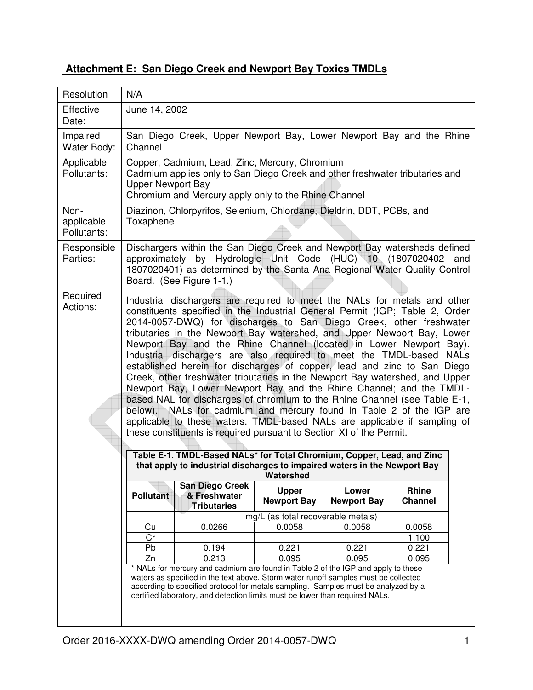| Attachment E: San Diego Creek and Newport Bay Toxics TMDLs |
|------------------------------------------------------------|
|------------------------------------------------------------|

| Resolution                        | N/A                                                                                                                                                                                                                                                                                                                                                                                                                                                                                                                                                                                                                                                                                                                                                                                                                                                                                                                                                                                                                                                                                                                                                                                    |                                                              |                                       |                             |                         |  |
|-----------------------------------|----------------------------------------------------------------------------------------------------------------------------------------------------------------------------------------------------------------------------------------------------------------------------------------------------------------------------------------------------------------------------------------------------------------------------------------------------------------------------------------------------------------------------------------------------------------------------------------------------------------------------------------------------------------------------------------------------------------------------------------------------------------------------------------------------------------------------------------------------------------------------------------------------------------------------------------------------------------------------------------------------------------------------------------------------------------------------------------------------------------------------------------------------------------------------------------|--------------------------------------------------------------|---------------------------------------|-----------------------------|-------------------------|--|
| Effective<br>Date:                | June 14, 2002                                                                                                                                                                                                                                                                                                                                                                                                                                                                                                                                                                                                                                                                                                                                                                                                                                                                                                                                                                                                                                                                                                                                                                          |                                                              |                                       |                             |                         |  |
| Impaired<br>Water Body:           | San Diego Creek, Upper Newport Bay, Lower Newport Bay and the Rhine<br>Channel                                                                                                                                                                                                                                                                                                                                                                                                                                                                                                                                                                                                                                                                                                                                                                                                                                                                                                                                                                                                                                                                                                         |                                                              |                                       |                             |                         |  |
| Applicable<br>Pollutants:         | Copper, Cadmium, Lead, Zinc, Mercury, Chromium<br>Cadmium applies only to San Diego Creek and other freshwater tributaries and<br><b>Upper Newport Bay</b><br>Chromium and Mercury apply only to the Rhine Channel                                                                                                                                                                                                                                                                                                                                                                                                                                                                                                                                                                                                                                                                                                                                                                                                                                                                                                                                                                     |                                                              |                                       |                             |                         |  |
| Non-<br>applicable<br>Pollutants: | Diazinon, Chlorpyrifos, Selenium, Chlordane, Dieldrin, DDT, PCBs, and<br>Toxaphene                                                                                                                                                                                                                                                                                                                                                                                                                                                                                                                                                                                                                                                                                                                                                                                                                                                                                                                                                                                                                                                                                                     |                                                              |                                       |                             |                         |  |
| Responsible<br>Parties:           | Dischargers within the San Diego Creek and Newport Bay watersheds defined<br>by Hydrologic Unit Code (HUC) 10 (1807020402<br>approximately<br>and<br>1807020401) as determined by the Santa Ana Regional Water Quality Control<br>Board. (See Figure 1-1.)                                                                                                                                                                                                                                                                                                                                                                                                                                                                                                                                                                                                                                                                                                                                                                                                                                                                                                                             |                                                              |                                       |                             |                         |  |
| Required<br>Actions:              | Industrial dischargers are required to meet the NALs for metals and other<br>constituents specified in the Industrial General Permit (IGP; Table 2, Order<br>2014-0057-DWQ) for discharges to San Diego Creek, other freshwater<br>tributaries in the Newport Bay watershed, and Upper Newport Bay, Lower<br>Newport Bay and the Rhine Channel (located in Lower Newport Bay).<br>Industrial dischargers are also required to meet the TMDL-based<br><b>NALs</b><br>established herein for discharges of copper, lead and zinc to San Diego<br>Creek, other freshwater tributaries in the Newport Bay watershed, and Upper<br>Newport Bay, Lower Newport Bay and the Rhine Channel; and the TMDL-<br>based NAL for discharges of chromium to the Rhine Channel (see Table E-1,<br>below). NALs for cadmium and mercury found in Table 2 of the IGP are<br>applicable to these waters. TMDL-based NALs are applicable if sampling of<br>these constituents is required pursuant to Section XI of the Permit.<br>Table E-1. TMDL-Based NALs* for Total Chromium, Copper, Lead, and Zinc<br>that apply to industrial discharges to impaired waters in the Newport Bay<br><b>Watershed</b> |                                                              |                                       |                             |                         |  |
|                                   | <b>Pollutant</b>                                                                                                                                                                                                                                                                                                                                                                                                                                                                                                                                                                                                                                                                                                                                                                                                                                                                                                                                                                                                                                                                                                                                                                       | <b>San Diego Creek</b><br>& Freshwater<br><b>Tributaries</b> | <b>Upper</b><br><b>Newport Bay</b>    | Lower<br><b>Newport Bay</b> | Rhine<br><b>Channel</b> |  |
|                                   |                                                                                                                                                                                                                                                                                                                                                                                                                                                                                                                                                                                                                                                                                                                                                                                                                                                                                                                                                                                                                                                                                                                                                                                        |                                                              | (as total recoverable metals)<br>mq/L |                             |                         |  |
|                                   | Cu                                                                                                                                                                                                                                                                                                                                                                                                                                                                                                                                                                                                                                                                                                                                                                                                                                                                                                                                                                                                                                                                                                                                                                                     | 0.0266                                                       | 0.0058                                | 0.0058                      | 0.0058                  |  |
|                                   | Cr                                                                                                                                                                                                                                                                                                                                                                                                                                                                                                                                                                                                                                                                                                                                                                                                                                                                                                                                                                                                                                                                                                                                                                                     |                                                              |                                       |                             | 1.100                   |  |
|                                   | Pb                                                                                                                                                                                                                                                                                                                                                                                                                                                                                                                                                                                                                                                                                                                                                                                                                                                                                                                                                                                                                                                                                                                                                                                     | 0.194                                                        | 0.221                                 | 0.221                       | 0.221                   |  |
|                                   | Zn                                                                                                                                                                                                                                                                                                                                                                                                                                                                                                                                                                                                                                                                                                                                                                                                                                                                                                                                                                                                                                                                                                                                                                                     | 0.213                                                        | 0.095                                 | 0.095                       | 0.095                   |  |
|                                   | * NALs for mercury and cadmium are found in Table 2 of the IGP and apply to these<br>waters as specified in the text above. Storm water runoff samples must be collected<br>according to specified protocol for metals sampling. Samples must be analyzed by a<br>certified laboratory, and detection limits must be lower than required NALs.                                                                                                                                                                                                                                                                                                                                                                                                                                                                                                                                                                                                                                                                                                                                                                                                                                         |                                                              |                                       |                             |                         |  |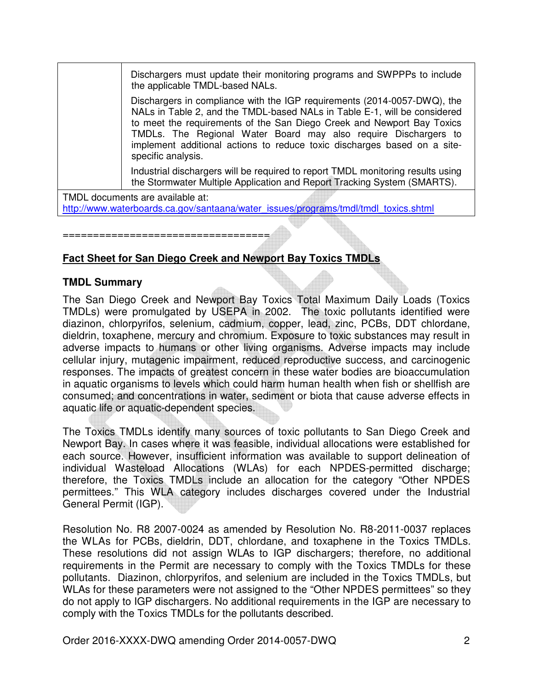Dischargers must update their monitoring programs and SWPPPs to include the applicable TMDL-based NALs.

Dischargers in compliance with the IGP requirements (2014-0057-DWQ), the NALs in Table 2, and the TMDL-based NALs in Table E-1, will be considered to meet the requirements of the San Diego Creek and Newport Bay Toxics TMDLs. The Regional Water Board may also require Dischargers to implement additional actions to reduce toxic discharges based on a sitespecific analysis.

Industrial dischargers will be required to report TMDL monitoring results using the Stormwater Multiple Application and Report Tracking System (SMARTS).

TMDL documents are available at: http://www.waterboards.ca.gov/santaana/water\_issues/programs/tmdl/tmdl\_toxics.shtml

## **Fact Sheet for San Diego Creek and Newport Bay Toxics TMDLs**

==================================

## **TMDL Summary**

The San Diego Creek and Newport Bay Toxics Total Maximum Daily Loads (Toxics TMDLs) were promulgated by USEPA in 2002. The toxic pollutants identified were diazinon, chlorpyrifos, selenium, cadmium, copper, lead, zinc, PCBs, DDT chlordane, dieldrin, toxaphene, mercury and chromium. Exposure to toxic substances may result in adverse impacts to humans or other living organisms. Adverse impacts may include cellular injury, mutagenic impairment, reduced reproductive success, and carcinogenic responses. The impacts of greatest concern in these water bodies are bioaccumulation in aquatic organisms to levels which could harm human health when fish or shellfish are consumed; and concentrations in water, sediment or biota that cause adverse effects in aquatic life or aquatic-dependent species.

The Toxics TMDLs identify many sources of toxic pollutants to San Diego Creek and Newport Bay. In cases where it was feasible, individual allocations were established for each source. However, insufficient information was available to support delineation of individual Wasteload Allocations (WLAs) for each NPDES-permitted discharge; therefore, the Toxics TMDLs include an allocation for the category "Other NPDES permittees." This WLA category includes discharges covered under the Industrial General Permit (IGP).

Resolution No. R8 2007-0024 as amended by Resolution No. R8-2011-0037 replaces the WLAs for PCBs, dieldrin, DDT, chlordane, and toxaphene in the Toxics TMDLs. These resolutions did not assign WLAs to IGP dischargers; therefore, no additional requirements in the Permit are necessary to comply with the Toxics TMDLs for these pollutants. Diazinon, chlorpyrifos, and selenium are included in the Toxics TMDLs, but WLAs for these parameters were not assigned to the "Other NPDES permittees" so they do not apply to IGP dischargers. No additional requirements in the IGP are necessary to comply with the Toxics TMDLs for the pollutants described.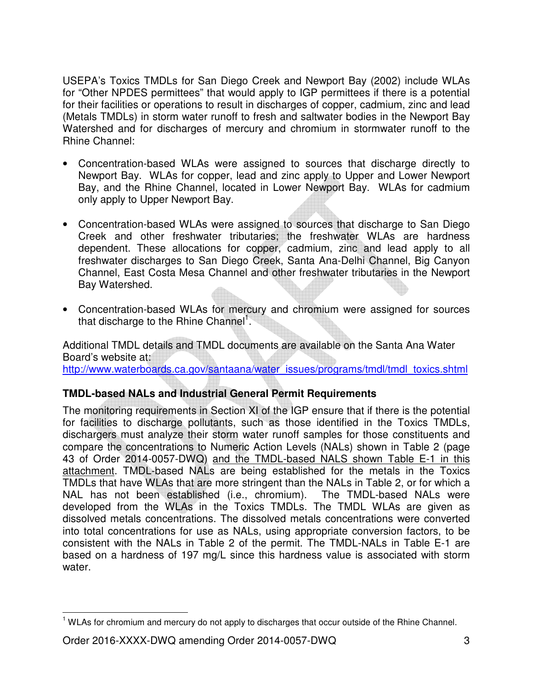USEPA's Toxics TMDLs for San Diego Creek and Newport Bay (2002) include WLAs for "Other NPDES permittees" that would apply to IGP permittees if there is a potential for their facilities or operations to result in discharges of copper, cadmium, zinc and lead (Metals TMDLs) in storm water runoff to fresh and saltwater bodies in the Newport Bay Watershed and for discharges of mercury and chromium in stormwater runoff to the Rhine Channel:

- Concentration-based WLAs were assigned to sources that discharge directly to Newport Bay. WLAs for copper, lead and zinc apply to Upper and Lower Newport Bay, and the Rhine Channel, located in Lower Newport Bay. WLAs for cadmium only apply to Upper Newport Bay.
- Concentration-based WLAs were assigned to sources that discharge to San Diego Creek and other freshwater tributaries; the freshwater WLAs are hardness dependent. These allocations for copper, cadmium, zinc and lead apply to all freshwater discharges to San Diego Creek, Santa Ana-Delhi Channel, Big Canyon Channel, East Costa Mesa Channel and other freshwater tributaries in the Newport Bay Watershed.
- Concentration-based WLAs for mercury and chromium were assigned for sources that discharge to the Rhine Channel<sup>1</sup>.

Additional TMDL details and TMDL documents are available on the Santa Ana Water Board's website at: http://www.waterboards.ca.gov/santaana/water\_issues/programs/tmdl/tmdl\_toxics.shtml

## **TMDL-based NALs and Industrial General Permit Requirements**

The monitoring requirements in Section XI of the IGP ensure that if there is the potential for facilities to discharge pollutants, such as those identified in the Toxics TMDLs, dischargers must analyze their storm water runoff samples for those constituents and compare the concentrations to Numeric Action Levels (NALs) shown in Table 2 (page 43 of Order 2014-0057-DWQ) and the TMDL-based NALS shown Table E-1 in this attachment. TMDL-based NALs are being established for the metals in the Toxics TMDLs that have WLAs that are more stringent than the NALs in Table 2, or for which a NAL has not been established (i.e., chromium). The TMDL-based NALs were developed from the WLAs in the Toxics TMDLs. The TMDL WLAs are given as dissolved metals concentrations. The dissolved metals concentrations were converted into total concentrations for use as NALs, using appropriate conversion factors, to be consistent with the NALs in Table 2 of the permit. The TMDL-NALs in Table E-1 are based on a hardness of 197 mg/L since this hardness value is associated with storm water.

 $\overline{\phantom{a}}$ <sup>1</sup> WLAs for chromium and mercury do not apply to discharges that occur outside of the Rhine Channel.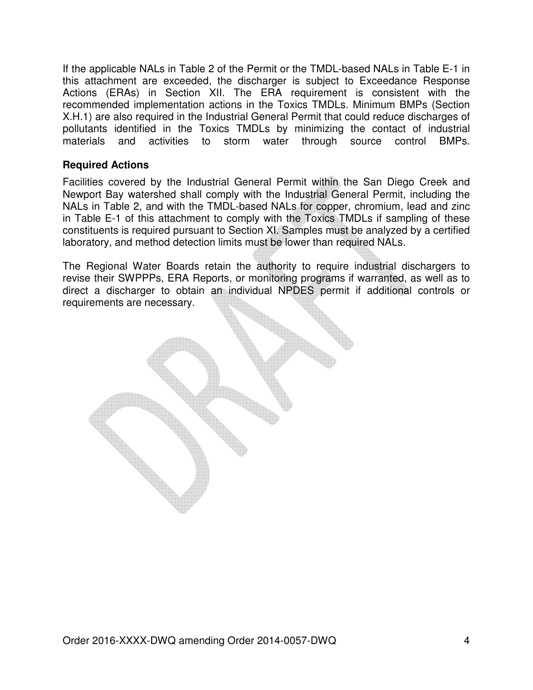If the applicable NALs in Table 2 of the Permit or the TMDL-based NALs in Table E-1 in this attachment are exceeded, the discharger is subject to Exceedance Response Actions (ERAs) in Section XII. The ERA requirement is consistent with the recommended implementation actions in the Toxics TMDLs. Minimum BMPs (Section X.H.1) are also required in the Industrial General Permit that could reduce discharges of pollutants identified in the Toxics TMDLs by minimizing the contact of industrial materials and activities to storm water through source control BMPs.

## **Required Actions**

Facilities covered by the Industrial General Permit within the San Diego Creek and Newport Bay watershed shall comply with the Industrial General Permit, including the NALs in Table 2, and with the TMDL-based NALs for copper, chromium, lead and zinc in Table E-1 of this attachment to comply with the Toxics TMDLs if sampling of these constituents is required pursuant to Section XI. Samples must be analyzed by a certified laboratory, and method detection limits must be lower than required NALs.

The Regional Water Boards retain the authority to require industrial dischargers to revise their SWPPPs, ERA Reports, or monitoring programs if warranted, as well as to direct a discharger to obtain an individual NPDES permit if additional controls or requirements are necessary.